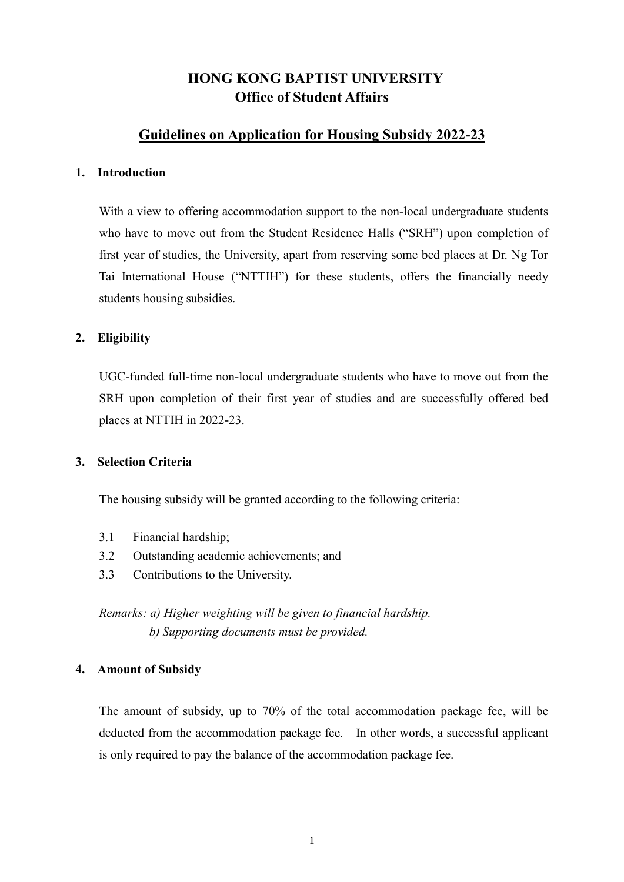# **HONG KONG BAPTIST UNIVERSITY Office of Student Affairs**

# **Guidelines on Application for Housing Subsidy 2022-23**

#### **1. Introduction**

With a view to offering accommodation support to the non-local undergraduate students who have to move out from the Student Residence Halls ("SRH") upon completion of first year of studies, the University, apart from reserving some bed places at Dr. Ng Tor Tai International House ("NTTIH") for these students, offers the financially needy students housing subsidies.

#### **2. Eligibility**

UGC-funded full-time non-local undergraduate students who have to move out from the SRH upon completion of their first year of studies and are successfully offered bed places at NTTIH in 2022-23.

#### **3. Selection Criteria**

The housing subsidy will be granted according to the following criteria:

- 3.1 Financial hardship;
- 3.2 Outstanding academic achievements; and
- 3.3 Contributions to the University.

*Remarks: a) Higher weighting will be given to financial hardship. b) Supporting documents must be provided.*

#### **4. Amount of Subsidy**

The amount of subsidy, up to 70% of the total accommodation package fee, will be deducted from the accommodation package fee. In other words, a successful applicant is only required to pay the balance of the accommodation package fee.